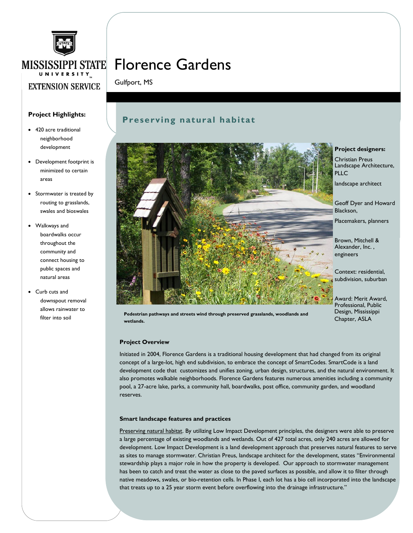

# Florence Gardens

**Preserving natural habitat**

Gulfport, MS

### **Project Highlights:**

- 420 acre traditional neighborhood development
- Development footprint is minimized to certain areas
- Stormwater is treated by routing to grasslands, swales and bioswales
- Walkways and boardwalks occur throughout the community and connect housing to public spaces and natural areas
- Curb cuts and downspout removal allows rainwater to filter into soil



#### **Project designers:**

Christian Preus Landscape Architecture, PLLC

landscape architect

Geoff Dyer and Howard Blackson,

Placemakers, planners

Brown, Mitchell & Alexander, Inc. , engineers

Context: residential, subdivision, suburban

Award: Merit Award, Professional, Public Design, Mississippi Chapter, ASLA

**Pedestrian pathways and streets wind through preserved grasslands, woodlands and wetlands.**

### **Project Overview**

Initiated in 2004, Florence Gardens is a traditional housing development that had changed from its original concept of a large-lot, high end subdivision, to embrace the concept of SmartCodes. SmartCode is a land development code that customizes and unifies zoning, urban design, structures, and the natural environment. It also promotes walkable neighborhoods. Florence Gardens features numerous amenities including a community pool, a 27-acre lake, parks, a community hall, boardwalks, post office, community garden, and woodland reserves.

#### **Smart landscape features and practices**

Preserving natural habitat. By utilizing Low Impact Development principles, the designers were able to preserve a large percentage of existing woodlands and wetlands. Out of 427 total acres, only 240 acres are allowed for development. Low Impact Development is a land development approach that preserves natural features to serve as sites to manage stormwater. Christian Preus, landscape architect for the development, states "Environmental stewardship plays a major role in how the property is developed. Our approach to stormwater management has been to catch and treat the water as close to the paved surfaces as possible, and allow it to filter through native meadows, swales, or bio-retention cells. In Phase I, each lot has a bio cell incorporated into the landscape that treats up to a 25 year storm event before overflowing into the drainage infrastructure."